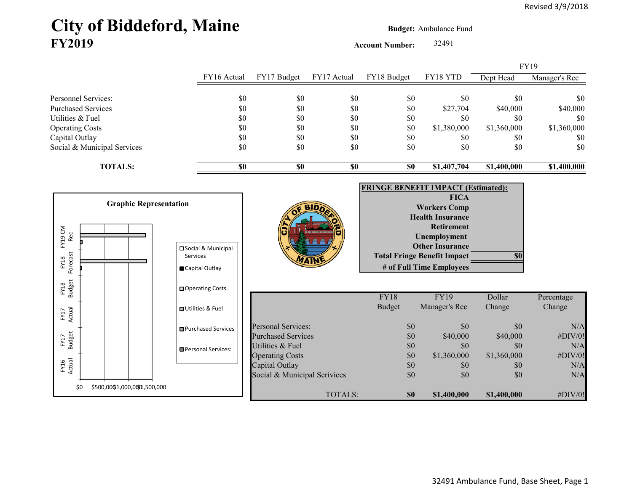# City of Biddeford, Maine **Budget:** Ambulance Fund **FY2019**

**Account Number:** 32491

|                        |                               |                               |                                                |             |               |                                           |             | FY19          |
|------------------------|-------------------------------|-------------------------------|------------------------------------------------|-------------|---------------|-------------------------------------------|-------------|---------------|
|                        |                               | FY16 Actual                   | FY17 Budget                                    | FY17 Actual | FY18 Budget   | FY18 YTD                                  | Dept Head   | Manager's Rec |
|                        | Personnel Services:           | \$0                           | \$0                                            | \$0         | \$0           | \$0                                       | \$0         | \$0           |
|                        | <b>Purchased Services</b>     | \$0                           | \$0                                            | \$0         | \$0           | \$27,704                                  | \$40,000    | \$40,000      |
| Utilities & Fuel       |                               | \$0                           | \$0                                            | \$0         | \$0           | \$0                                       | \$0         | \$0           |
| <b>Operating Costs</b> |                               | \$0                           | \$0                                            | \$0         | \$0           | \$1,380,000                               | \$1,360,000 | \$1,360,000   |
| Capital Outlay         |                               | \$0                           | \$0                                            | $\$0$       | \$0           | \$0                                       | \$0         | \$0           |
|                        | Social & Municipal Services   | \$0                           | \$0                                            | \$0         | \$0           | \$0                                       | \$0         | \$0           |
|                        | <b>TOTALS:</b>                | $\overline{\$0}$              | $\overline{\boldsymbol{\mathsf{s0}}}$          | \$0         | \$0           | \$1,407,704                               | \$1,400,000 | \$1,400,000   |
|                        |                               |                               |                                                |             |               | <b>FRINGE BENEFIT IMPACT (Estimated):</b> |             |               |
|                        |                               |                               |                                                |             |               | <b>FICA</b>                               |             |               |
|                        | <b>Graphic Representation</b> |                               |                                                |             |               | <b>Workers Comp</b>                       |             |               |
|                        |                               |                               |                                                |             |               | <b>Health Insurance</b>                   |             |               |
|                        |                               |                               |                                                |             |               | <b>Retirement</b>                         |             |               |
| FY19 CM<br>Rec         |                               |                               |                                                |             |               | Unemployment                              |             |               |
|                        |                               | □ Social & Municipal          |                                                |             |               | <b>Other Insurance</b>                    |             |               |
| Forecast<br>FY18       |                               | <b>Services</b>               |                                                |             |               | <b>Total Fringe Benefit Impact</b>        | \$0         |               |
|                        |                               | Capital Outlay                |                                                |             |               | # of Full Time Employees                  |             |               |
| FY18<br>Budget         |                               | □ Operating Costs             |                                                |             |               |                                           |             |               |
|                        |                               |                               |                                                |             | <b>FY18</b>   | <b>FY19</b>                               | Dollar      | Percentage    |
|                        |                               | <b>□ Utilities &amp; Fuel</b> |                                                |             | <b>Budget</b> | Manager's Rec                             | Change      | Change        |
| FY17<br>Actual         |                               |                               |                                                |             |               |                                           |             |               |
|                        |                               | <b>■Purchased Services</b>    | <b>Personal Services:</b>                      |             | \$0           | \$0                                       | \$0         | N/A           |
| FY17<br>Budget         |                               |                               | <b>Purchased Services</b>                      |             | \$0           | \$40,000                                  | \$40,000    | #DIV/0!       |
|                        |                               | Personal Services:            | Utilities & Fuel                               |             | \$0           | \$0                                       | \$0         | N/A           |
|                        |                               |                               | <b>Operating Costs</b>                         |             | \$0           | \$1,360,000                               | \$1,360,000 | #DIV/0!       |
| FY16<br>Actual         |                               |                               | Capital Outlay<br>Social & Municipal Serivices |             | \$0<br>\$0    | \$0<br>\$0                                | \$0<br>\$0  | N/A<br>N/A    |
|                        |                               |                               |                                                |             |               |                                           |             |               |
| \$0                    | \$500,000\$1,000,0000,500,000 |                               |                                                | TOTALS:     | \$0           | \$1,400,000                               | \$1,400,000 | #DIV/0!       |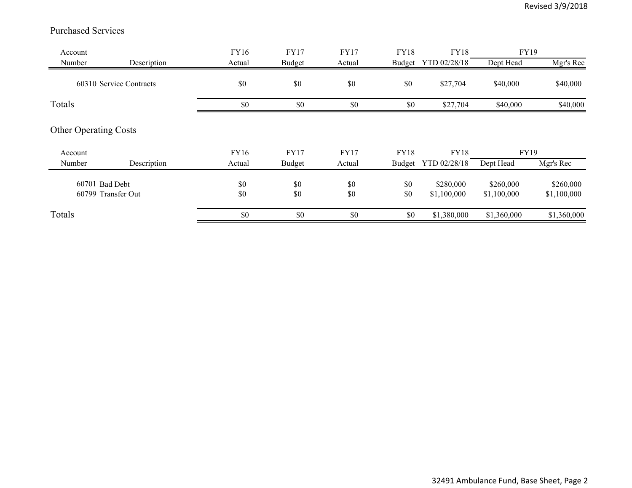#### Purchased Services

| Account                      |                         | FY16       | <b>FY17</b>   | <b>FY17</b> | <b>FY18</b> | <b>FY18</b>              | FY19                     |                          |
|------------------------------|-------------------------|------------|---------------|-------------|-------------|--------------------------|--------------------------|--------------------------|
| Number                       | Description             | Actual     | <b>Budget</b> | Actual      |             | Budget YTD 02/28/18      | Dept Head                | Mgr's Rec                |
|                              | 60310 Service Contracts | \$0        | \$0           | \$0         | \$0         | \$27,704                 | \$40,000                 | \$40,000                 |
| Totals                       |                         | \$0        | \$0           | \$0         | \$0         | \$27,704                 | \$40,000                 | \$40,000                 |
| <b>Other Operating Costs</b> |                         |            |               |             |             |                          |                          |                          |
| Account                      |                         | FY16       | <b>FY17</b>   | <b>FY17</b> | FY18        | FY18                     | <b>FY19</b>              |                          |
| Number                       | Description             | Actual     | <b>Budget</b> | Actual      | Budget      | YTD 02/28/18             | Dept Head                | Mgr's Rec                |
| 60701 Bad Debt               | 60799 Transfer Out      | \$0<br>\$0 | \$0<br>\$0    | \$0<br>\$0  | \$0<br>\$0  | \$280,000<br>\$1,100,000 | \$260,000<br>\$1,100,000 | \$260,000<br>\$1,100,000 |
| Totals                       |                         | \$0        | \$0           | \$0         | \$0         | \$1,380,000              | \$1,360,000              | \$1,360,000              |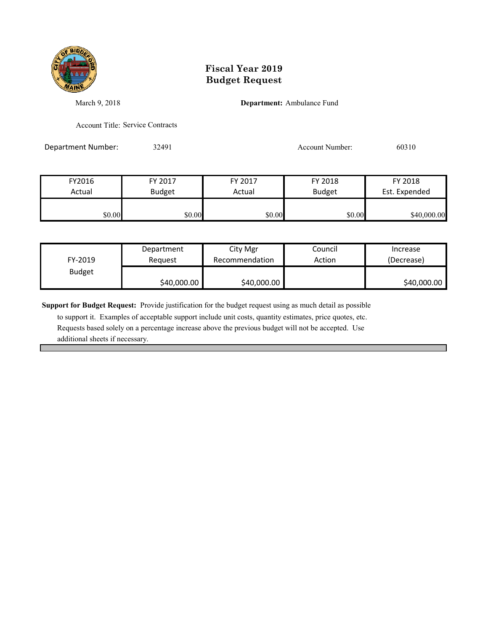

### **Fiscal Year 2019 Budget Request**

March 9, 2018 **Department:** Ambulance Fund

Account Title: Service Contracts

Department Number: 32491 32491 Account Number: 60310

| FY2016 | FY 2017       | FY 2017 | FY 2018       | FY 2018       |
|--------|---------------|---------|---------------|---------------|
| Actual | <b>Budget</b> | Actual  | <b>Budget</b> | Est. Expended |
|        |               |         |               |               |
| \$0.00 | \$0.00        | \$0.00  | \$0.00        | \$40,000.00   |

| FY-2019       | Department  | City Mgr       | Council | Increase    |
|---------------|-------------|----------------|---------|-------------|
|               | Reauest     | Recommendation | Action  | (Decrease)  |
| <b>Budget</b> | \$40,000.00 | \$40,000.00    |         | \$40,000.00 |

**Support for Budget Request:** Provide justification for the budget request using as much detail as possible

 to support it. Examples of acceptable support include unit costs, quantity estimates, price quotes, etc. Requests based solely on a percentage increase above the previous budget will not be accepted. Use additional sheets if necessary.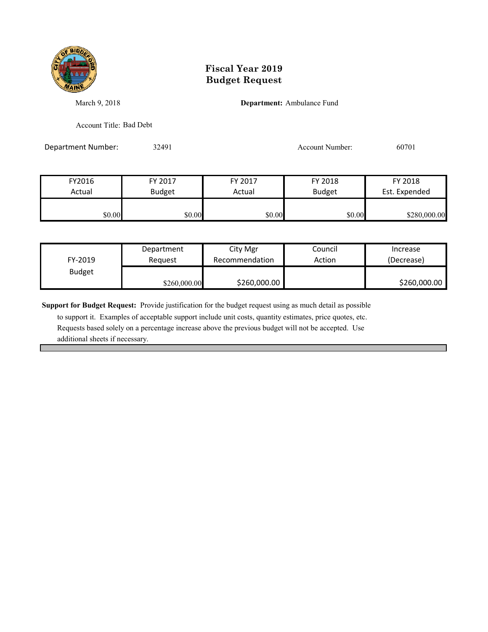

### **Fiscal Year 2019 Budget Request**

March 9, 2018 **Department:** Ambulance Fund

Account Title: Bad Debt

Department Number: 32491 32491 Account Number: 60701

| FY2016 | FY 2017       | FY 2017 | FY 2018       | FY 2018       |
|--------|---------------|---------|---------------|---------------|
| Actual | <b>Budget</b> | Actual  | <b>Budget</b> | Est. Expended |
|        |               |         |               |               |
| \$0.00 | \$0.00        | \$0.00  | \$0.00        | \$280,000.00  |

|               | Department   | City Mgr       | Council | Increase     |
|---------------|--------------|----------------|---------|--------------|
| FY-2019       | Reauest      | Recommendation | Action  | (Decrease)   |
| <b>Budget</b> |              |                |         |              |
|               | \$260,000.00 | \$260,000.00   |         | \$260,000.00 |

**Support for Budget Request:** Provide justification for the budget request using as much detail as possible

 to support it. Examples of acceptable support include unit costs, quantity estimates, price quotes, etc. Requests based solely on a percentage increase above the previous budget will not be accepted. Use additional sheets if necessary.